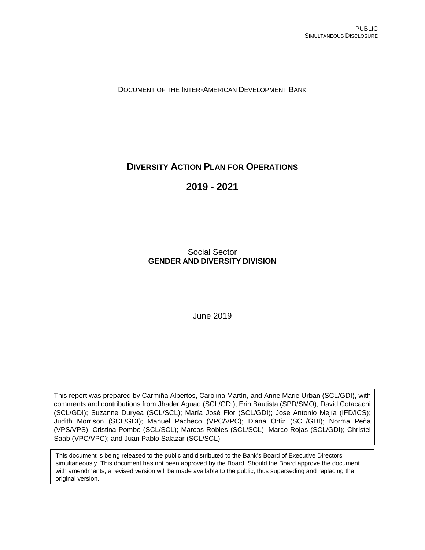DOCUMENT OF THE INTER-AMERICAN DEVELOPMENT BANK

# **DIVERSITY ACTION PLAN FOR OPERATIONS**

**2019 - 2021**

Social Sector **GENDER AND DIVERSITY DIVISION**

June 2019

<span id="page-0-0"></span>This report was prepared by Carmiña Albertos, Carolina Martín, and Anne Marie Urban (SCL/GDI), with comments and contributions from Jhader Aguad (SCL/GDI); Erin Bautista (SPD/SMO); David Cotacachi (SCL/GDI); Suzanne Duryea (SCL/SCL); María José Flor (SCL/GDI); Jose Antonio Mejía (IFD/ICS); Judith Morrison (SCL/GDI); Manuel Pacheco (VPC/VPC); Diana Ortiz (SCL/GDI); Norma Peña (VPS/VPS); Cristina Pombo (SCL/SCL); Marcos Robles (SCL/SCL); Marco Rojas (SCL/GDI); Christel Saab (VPC/VPC); and Juan Pablo Salazar (SCL/SCL)

This document is being released to the public and distributed to the Bank's Board of Executive Directors simultaneously. This document has not been approved by the Board. Should the Board approve the document with amendments, a revised version will be made available to the public, thus superseding and replacing the original version.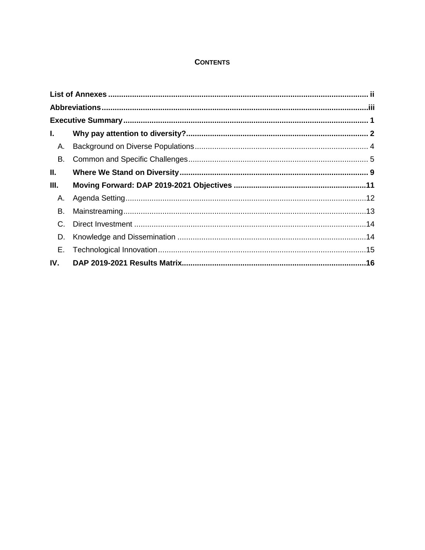## **CONTENTS**

| L.   |  |  |  |  |
|------|--|--|--|--|
| А.   |  |  |  |  |
| В.   |  |  |  |  |
| Ш.   |  |  |  |  |
| III. |  |  |  |  |
| А.   |  |  |  |  |
| В.   |  |  |  |  |
| C.   |  |  |  |  |
| D.   |  |  |  |  |
| Е.   |  |  |  |  |
| IV.  |  |  |  |  |
|      |  |  |  |  |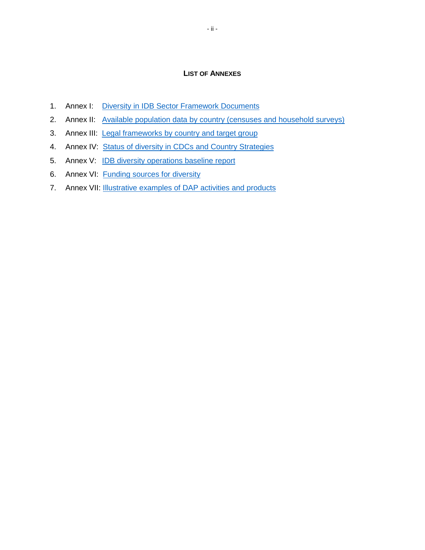#### **LIST OF ANNEXES**

- <span id="page-2-0"></span>1. Annex I: [Diversity in IDB Sector Framework Documents](http://idbdocs.iadb.org/wsdocs/getDocument.aspx?DOCNUM=EZSHARE-1313314906-207)
- 2. Annex II: [Available population data by country \(censuses and household surveys\)](http://idbdocs.iadb.org/wsdocs/getDocument.aspx?DOCNUM=EZSHARE-1313314906-208)
- 3. Annex III: [Legal frameworks by country and target group](http://idbdocs.iadb.org/wsdocs/getDocument.aspx?DOCNUM=EZSHARE-1313314906-211)
- 4. Annex IV: [Status of diversity in CDCs and Country Strategies](http://idbdocs.iadb.org/wsdocs/getDocument.aspx?DOCNUM=EZSHARE-1313314906-210)
- 5. Annex V: [IDB diversity operations baseline report](http://idbdocs.iadb.org/wsdocs/getDocument.aspx?DOCNUM=EZSHARE-1313314906-205)
- 6. Annex VI: [Funding sources for diversity](http://idbdocs.iadb.org/wsdocs/getDocument.aspx?DOCNUM=EZSHARE-1313314906-209)
- 7. Annex VII: **Illustrative examples [of DAP activities and products](http://idbdocs.iadb.org/wsdocs/getDocument.aspx?DOCNUM=EZSHARE-1313314906-206)**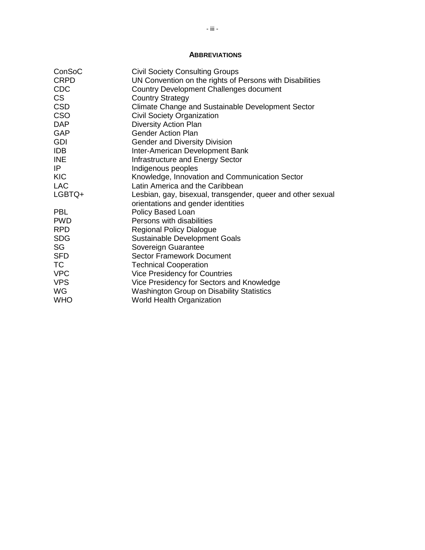## **ABBREVIATIONS**

<span id="page-3-0"></span>

| ConSoC      | <b>Civil Society Consulting Groups</b>                      |
|-------------|-------------------------------------------------------------|
| <b>CRPD</b> | UN Convention on the rights of Persons with Disabilities    |
| <b>CDC</b>  | <b>Country Development Challenges document</b>              |
| <b>CS</b>   | <b>Country Strategy</b>                                     |
| <b>CSD</b>  | Climate Change and Sustainable Development Sector           |
| <b>CSO</b>  | Civil Society Organization                                  |
| <b>DAP</b>  | <b>Diversity Action Plan</b>                                |
| <b>GAP</b>  | <b>Gender Action Plan</b>                                   |
| <b>GDI</b>  | <b>Gender and Diversity Division</b>                        |
| <b>IDB</b>  | Inter-American Development Bank                             |
| <b>INE</b>  | Infrastructure and Energy Sector                            |
| IP          | Indigenous peoples                                          |
| <b>KIC</b>  | Knowledge, Innovation and Communication Sector              |
| <b>LAC</b>  | Latin America and the Caribbean                             |
| LGBTQ+      | Lesbian, gay, bisexual, transgender, queer and other sexual |
|             | orientations and gender identities                          |
| <b>PBL</b>  | Policy Based Loan                                           |
| <b>PWD</b>  | Persons with disabilities                                   |
| <b>RPD</b>  | <b>Regional Policy Dialogue</b>                             |
| <b>SDG</b>  | <b>Sustainable Development Goals</b>                        |
| SG          | Sovereign Guarantee                                         |
| <b>SFD</b>  | Sector Framework Document                                   |
| <b>TC</b>   | <b>Technical Cooperation</b>                                |
| <b>VPC</b>  | <b>Vice Presidency for Countries</b>                        |
| <b>VPS</b>  | Vice Presidency for Sectors and Knowledge                   |
| <b>WG</b>   | <b>Washington Group on Disability Statistics</b>            |
| <b>WHO</b>  | <b>World Health Organization</b>                            |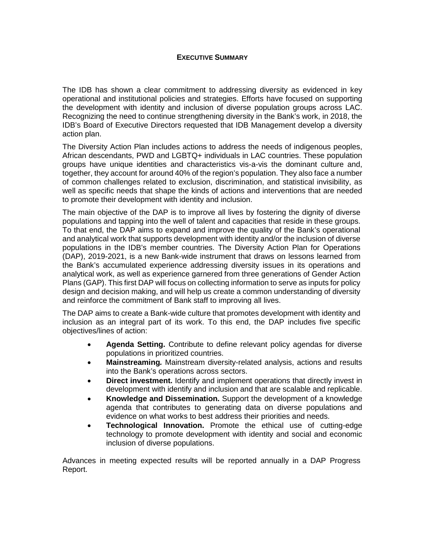## **EXECUTIVE SUMMARY**

<span id="page-4-0"></span>The IDB has shown a clear commitment to addressing diversity as evidenced in key operational and institutional policies and strategies. Efforts have focused on supporting the development with identity and inclusion of diverse population groups across LAC. Recognizing the need to continue strengthening diversity in the Bank's work, in 2018, the IDB's Board of Executive Directors requested that IDB Management develop a diversity action plan.

The Diversity Action Plan includes actions to address the needs of indigenous peoples, African descendants, PWD and LGBTQ+ individuals in LAC countries. These population groups have unique identities and characteristics vis-a-vis the dominant culture and, together, they account for around 40% of the region's population. They also face a number of common challenges related to exclusion, discrimination, and statistical invisibility, as well as specific needs that shape the kinds of actions and interventions that are needed to promote their development with identity and inclusion.

The main objective of the DAP is to improve all lives by fostering the dignity of diverse populations and tapping into the well of talent and capacities that reside in these groups. To that end, the DAP aims to expand and improve the quality of the Bank's operational and analytical work that supports development with identity and/or the inclusion of diverse populations in the IDB's member countries. The Diversity Action Plan for Operations (DAP), 2019-2021, is a new Bank-wide instrument that draws on lessons learned from the Bank's accumulated experience addressing diversity issues in its operations and analytical work, as well as experience garnered from three generations of Gender Action Plans (GAP). This first DAP will focus on collecting information to serve as inputs for policy design and decision making, and will help us create a common understanding of diversity and reinforce the commitment of Bank staff to improving all lives.

The DAP aims to create a Bank-wide culture that promotes development with identity and inclusion as an integral part of its work. To this end, the DAP includes five specific objectives/lines of action:

- **Agenda Setting.** Contribute to define relevant policy agendas for diverse populations in prioritized countries.
- **Mainstreaming***.* Mainstream diversity-related analysis, actions and results into the Bank's operations across sectors.
- **Direct investment.** Identify and implement operations that directly invest in development with identify and inclusion and that are scalable and replicable.
- **Knowledge and Dissemination.** Support the development of a knowledge agenda that contributes to generating data on diverse populations and evidence on what works to best address their priorities and needs.
- **Technological Innovation.** Promote the ethical use of cutting-edge technology to promote development with identity and social and economic inclusion of diverse populations.

Advances in meeting expected results will be reported annually in a DAP Progress Report.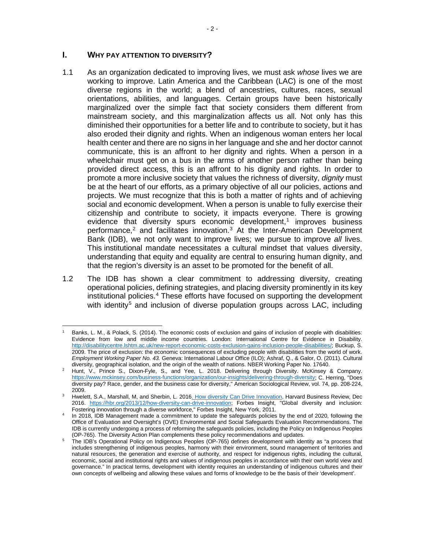## <span id="page-5-0"></span>**I. WHY PAY ATTENTION TO DIVERSITY?**

- 1.1 As an organization dedicated to improving lives, we must ask *whose* lives we are working to improve. Latin America and the Caribbean (LAC) is one of the most diverse regions in the world; a blend of ancestries, cultures, races, sexual orientations, abilities, and languages. Certain groups have been historically marginalized over the simple fact that society considers them different from mainstream society, and this marginalization affects us all. Not only has this diminished their opportunities for a better life and to contribute to society, but it has also eroded their dignity and rights. When an indigenous woman enters her local health center and there are no signs in her language and she and her doctor cannot communicate, this is an affront to her dignity and rights. When a person in a wheelchair must get on a bus in the arms of another person rather than being provided direct access, this is an affront to his dignity and rights. In order to promote a more inclusive society that values the richness of diversity, *dignity* must be at the heart of our efforts, as a primary objective of all our policies, actions and projects. We must recognize that this is both a matter of rights and of achieving social and economic development. When a person is unable to fully exercise their citizenship and contribute to society, it impacts everyone. There is growing evidence that diversity spurs economic development, [1](#page-5-1) improves business performance, [2](#page-0-0) and facilitates innovation. [3](#page-5-2) At the Inter-American Development Bank (IDB), we not only want to improve lives; we pursue to improve *all* lives. This institutional mandate necessitates a cultural mindset that values diversity, understanding that equity and equality are central to ensuring human dignity, and that the region's diversity is an asset to be promoted for the benefit of all.
- 1.2 The IDB has shown a clear commitment to addressing diversity, creating operational policies, defining strategies, and placing diversity prominently in its key institutional policies. [4](#page-5-3) These efforts have focused on supporting the development with identity<sup>[5](#page-5-4)</sup> and inclusion of diverse population groups across LAC, including

<span id="page-5-1"></span>l Banks, L. M., & Polack, S. (2014). The economic costs of exclusion and gains of inclusion of people with disabilities: Evidence from low and middle income countries. London: International Centre for Evidence in Disability. [http://disabilitycentre.lshtm.ac.uk/new-report-economic-costs-exclusion-gains-inclusion-people-disabilities/;](http://disabilitycentre.lshtm.ac.uk/new-report-economic-costs-exclusion-gains-inclusion-people-disabilities/) Buckup, S. 2009. The price of exclusion: the economic consequences of excluding people with disabilities from the world of work. *Employment Working Paper No. 43.* Geneva: International Labour Office (ILO); Ashraf, Q., & Galor, O. (2011). Cultural

Hunt, V., Prince S., Dixon-Fyle, S., and Yee, L. 2018. Delivering through Diversity. McKinsey & Company. [https://www.mckinsey.com/business-functions/organization/our-insights/delivering-through-diversity;](https://www.mckinsey.com/business-functions/organization/our-insights/delivering-through-diversity) C. Herring, "Does diversity pay? Race, gender, and the business case for diversity," American Sociological Review, vol. 74, pp. 208-224, 2009.

<span id="page-5-2"></span>Hwelett, S.A., Marshall, M, and Sherbin, L. 2016. How diversity Can Drive Innovation. Harvard Business Review, Dec 2016. [https://hbr.org/2013/12/how-diversity-can-drive-innovation;](https://hbr.org/2013/12/how-diversity-can-drive-innovation) Forbes Insight, "Global diversity and inclusion: Fostering innovation through a diverse workforce," Forbes Insight, New York, 2011.

<span id="page-5-3"></span><sup>4</sup> In 2018, IDB Management made a commitment to update the safeguards policies by the end of 2020, following the Office of Evaluation and Oversight's (OVE) Environmental and Social Safeguards Evaluation Recommendations. The IDB is currently undergoing a process of reforming the safeguards policies, including the Policy on Indigenous Peoples<br>(OP-765). The Diversity Action Plan complements these policy recommendations and updates.

<span id="page-5-4"></span>The IDB's Operational Policy on Indigenous Peoples (OP-765) defines development with identity as "a process that includes strengthening of indigenous peoples, harmony with their environment, sound management of territories and natural resources, the generation and exercise of authority, and respect for indigenous rights, including the cultural, economic, social and institutional rights and values of indigenous peoples in accordance with their own world view and governance." In practical terms, development with identity requires an understanding of indigenous cultures and their own concepts of wellbeing and allowing these values and forms of knowledge to be the basis of their 'development'.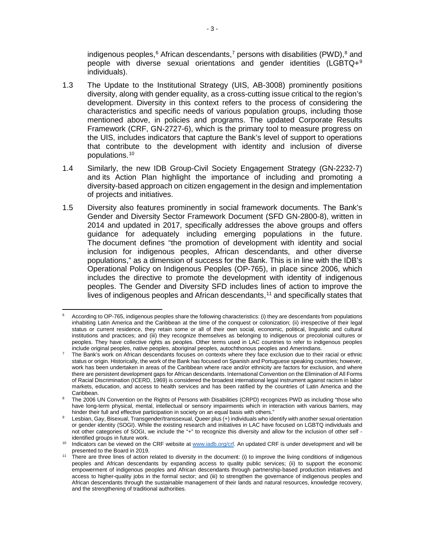indigenous peoples,<sup>[6](#page-6-0)</sup> African descendants,<sup>[7](#page-6-1)</sup> persons with disabilities (PWD),<sup>[8](#page-6-2)</sup> and people with diverse sexual orientations and gender identities (LGBTQ+[9](#page-6-3) individuals).

- 1.3 The Update to the Institutional Strategy (UIS, AB-3008) prominently positions diversity, along with gender equality, as a cross-cutting issue critical to the region's development. Diversity in this context refers to the process of considering the characteristics and specific needs of various population groups, including those mentioned above, in policies and programs. The updated Corporate Results Framework (CRF, GN-2727-6), which is the primary tool to measure progress on the UIS, includes indicators that capture the Bank's level of support to operations that contribute to the development with identity and inclusion of diverse populations.[10](#page-6-4)
- 1.4 Similarly, the new [IDB Group-Civil Society Engagement Strategy](https://idbg.sharepoint.com/teams/ez-SEC/Registered%20Documents/RI-Reg-GN/RIRegGNEnglish/IDB%20Group-Civil%20Society%20Engagement%20Strategy.%20Revised%20version.pdf) (GN-2232-7) and its Action Plan highlight the importance of including and promoting a diversity-based approach on citizen engagement in the design and implementation of projects and initiatives.
- 1.5 Diversity also features prominently in social framework documents. The Bank's Gender and Diversity Sector Framework Document (SFD GN-2800-8), written in 2014 and updated in 2017, specifically addresses the above groups and offers guidance for adequately including emerging populations in the future. The document defines "the promotion of development with identity and social inclusion for indigenous peoples, African descendants, and other diverse populations," as a dimension of success for the Bank. This is in line with the IDB's Operational Policy on Indigenous Peoples (OP-765), in place since 2006, which includes the directive to promote the development with identity of indigenous peoples. The Gender and Diversity SFD includes lines of action to improve the lives of indigenous peoples and African descendants, <sup>[11](#page-6-5)</sup> and specifically states that

<span id="page-6-0"></span>l According to OP-765, indigenous peoples share the following characteristics: (i) they are descendants from populations inhabiting Latin America and the Caribbean at the time of the conquest or colonization; (ii) irrespective of their legal status or current residence, they retain some or all of their own social, economic, political, linguistic and cultural institutions and practices; and (iii) they recognize themselves as belonging to indigenous or precolonial cultures or peoples. They have collective rights as peoples. Other terms used in LAC countries to refer to indigenous peoples include original peoples, native peoples, aboriginal peoples, autochthonous peoples and Amerindians.

<span id="page-6-1"></span><sup>7</sup> The Bank's work on African descendants focuses on contexts where they face exclusion due to their racial or ethnic status or origin. Historically, the work of the Bank has focused on Spanish and Portuguese speaking countries; however, work has been undertaken in areas of the Caribbean where race and/or ethnicity are factors for exclusion, and where there are persistent development gaps for African descendants. International Convention on the Elimination of All Forms of Racial Discrimination (ICERD, 1969) is considered the broadest international legal instrument against racism in labor markets, education, and access to health services and has been ratified by the countries of Latin America and the Caribbean.

<span id="page-6-2"></span><sup>8</sup> The 2006 UN Convention on the Rights of Persons with Disabilities (CRPD) recognizes PWD as including "those who have long-term physical, mental, intellectual or sensory impairments which in interaction with various barriers, may hinder their full and effective participation in society on an equal basis with others."

<span id="page-6-3"></span>Lesbian, Gay, Bisexual, Transgender/transsexual, Queer plus (+) individuals who identify with another sexual orientation or gender identity (SOGI). While the existing research and initiatives in LAC have focused on LGBTQ individuals and not other categories of SOGI, we include the "+" to recognize this diversity and allow for the inclusion of other self identified groups in future work.

<span id="page-6-4"></span><sup>&</sup>lt;sup>10</sup> Indicators can be viewed on the CRF website a[t www.iadb.org/crf.](http://www.iadb.org/crf) An updated CRF is under development and will be presented to the Board in 2019.

<span id="page-6-5"></span>presented to the Board in 2019. 11 There are three lines of action related to diversity in the document: (i) to improve the living conditions of indigenous peoples and African descendants by expanding access to quality public services; (ii) to support the economic empowerment of indigenous peoples and African descendants through partnership-based production initiatives and access to higher-quality jobs in the formal sector; and (iii) to strengthen the governance of indigenous peoples and African descendants through the sustainable management of their lands and natural resources, knowledge recovery, and the strengthening of traditional authorities.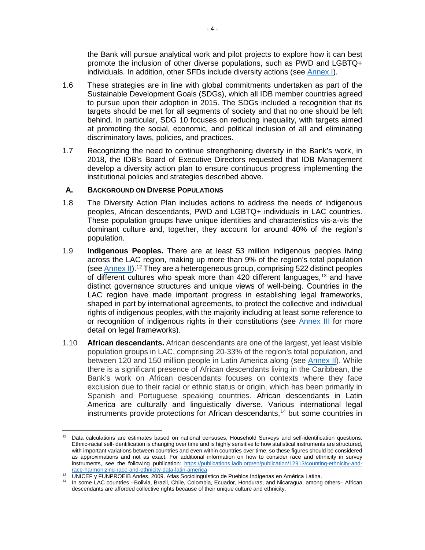the Bank will pursue analytical work and pilot projects to explore how it can best promote the inclusion of other diverse populations, such as PWD and LGBTQ+ individuals. In addition, other SFDs include diversity actions (see [Annex](http://idbdocs.iadb.org/wsdocs/getDocument.aspx?DOCNUM=EZSHARE-1313314906-207) I).

- 1.6 These strategies are in line with global commitments undertaken as part of the Sustainable Development Goals (SDGs), which all IDB member countries agreed to pursue upon their adoption in 2015. The SDGs included a recognition that its targets should be met for all segments of society and that no one should be left behind. In particular, SDG 10 focuses on reducing inequality, with targets aimed at promoting the social, economic, and political inclusion of all and eliminating discriminatory laws, policies, and practices.
- 1.7 Recognizing the need to continue strengthening diversity in the Bank's work, in 2018, the IDB's Board of Executive Directors requested that IDB Management develop a diversity action plan to ensure continuous progress implementing the institutional policies and strategies described above.

## <span id="page-7-0"></span>**A. BACKGROUND ON DIVERSE POPULATIONS**

- 1.8 The Diversity Action Plan includes actions to address the needs of indigenous peoples, African descendants, PWD and LGBTQ+ individuals in LAC countries. These population groups have unique identities and characteristics vis-a-vis the dominant culture and, together, they account for around 40% of the region's population.
- 1.9 **Indigenous Peoples.** There are at least 53 million indigenous peoples living across the LAC region, making up more than 9% of the region's total population (see [Annex II\)](http://idbdocs.iadb.org/wsdocs/getDocument.aspx?DOCNUM=EZSHARE-1313314906-208).[12](#page-7-1) They are a heterogeneous group, comprising 522 distinct peoples of different cultures who speak more than 420 different languages,[13](#page-7-2) and have distinct governance structures and unique views of well-being. Countries in the LAC region have made important progress in establishing legal frameworks, shaped in part by international agreements, to protect the collective and individual rights of indigenous peoples, with the majority including at least some reference to or recognition of indigenous rights in their constitutions (see [Annex III](http://idbdocs.iadb.org/wsdocs/getDocument.aspx?DOCNUM=EZSHARE-1313314906-211) for more detail on legal frameworks).
- 1.10 **African descendants.** African descendants are one of the largest, yet least visible population groups in LAC, comprising 20-33% of the region's total population, and between 120 and 150 million people in Latin America along (see [Annex II\)](http://idbdocs.iadb.org/wsdocs/getDocument.aspx?DOCNUM=EZSHARE-1313314906-208). While there is a significant presence of African descendants living in the Caribbean, the Bank's work on African descendants focuses on contexts where they face exclusion due to their racial or ethnic status or origin, which has been primarily in Spanish and Portuguese speaking countries. African descendants in Latin America are culturally and linguistically diverse. Various international legal instruments provide protections for African descendants, [14](#page-7-3) but some countries in

<span id="page-7-1"></span> $\overline{\phantom{a}}$ Data calculations are estimates based on national censuses, Household Surveys and self-identification questions. Ethnic-racial self-identification is changing over time and is highly sensitive to how statistical instruments are structured, with important variations between countries and even within countries over time, so these figures should be considered as approximations and not as exact. For additional information on how to consider race and ethnicity in survey instruments, see the following publication: [https://publications.iadb.org/en/publication/12913/counting-ethnicity-and](https://publications.iadb.org/en/publication/12913/counting-ethnicity-and-race-harmonizing-race-and-ethnicity-data-latin-america)[race-harmonizing-race-and-ethnicity-data-latin-america](https://publications.iadb.org/en/publication/12913/counting-ethnicity-and-race-harmonizing-race-and-ethnicity-data-latin-america)

<span id="page-7-2"></span><sup>13</sup> UNICEF y FUNPROEIB Andes, 2009. Atlas Sociolingüístico de Pueblos Indígenas en América Latina.

<span id="page-7-3"></span><sup>14</sup> In some LAC countries –Bolivia, Brazil, Chile, Colombia, Ecuador, Honduras, and Nicaragua, among others– African descendants are afforded collective rights because of their unique culture and ethnicity.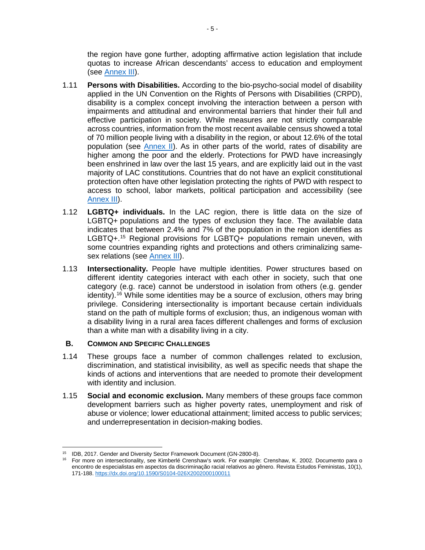the region have gone further, adopting affirmative action legislation that include quotas to increase African descendants' access to education and employment (see [Annex III\)](http://idbdocs.iadb.org/wsdocs/getDocument.aspx?DOCNUM=EZSHARE-1313314906-211).

- 1.11 **Persons with Disabilities.** According to the bio-psycho-social model of disability applied in the UN Convention on the Rights of Persons with Disabilities (CRPD), disability is a complex concept involving the interaction between a person with impairments and attitudinal and environmental barriers that hinder their full and effective participation in society. While measures are not strictly comparable across countries, information from the most recent available census showed a total of 70 million people living with a disability in the region, or about 12.6% of the total population (see **Annex II)**. As in other parts of the world, rates of disability are higher among the poor and the elderly. Protections for PWD have increasingly been enshrined in law over the last 15 years, and are explicitly laid out in the vast majority of LAC constitutions. Countries that do not have an explicit constitutional protection often have other legislation protecting the rights of PWD with respect to access to school, labor markets, political participation and accessibility (see [Annex](http://idbdocs.iadb.org/wsdocs/getDocument.aspx?DOCNUM=EZSHARE-1313314906-211) III).
- 1.12 **LGBTQ+ individuals.** In the LAC region, there is little data on the size of LGBTQ+ populations and the types of exclusion they face. The available data indicates that between 2.4% and 7% of the population in the region identifies as LGBTQ+.<sup>[15](#page-8-1)</sup> Regional provisions for LGBTQ+ populations remain uneven, with some countries expanding rights and protections and others criminalizing same-sex relations (see [Annex III\)](http://idbdocs.iadb.org/wsdocs/getDocument.aspx?DOCNUM=EZSHARE-1313314906-211).
- 1.13 **Intersectionality.** People have multiple identities. Power structures based on different identity categories interact with each other in society, such that one category (e.g. race) cannot be understood in isolation from others (e.g. gender identity). [16](#page-8-2) While some identities may be a source of exclusion, others may bring privilege. Considering intersectionality is important because certain individuals stand on the path of multiple forms of exclusion; thus, an indigenous woman with a disability living in a rural area faces different challenges and forms of exclusion than a white man with a disability living in a city.

## <span id="page-8-0"></span>**B. COMMON AND SPECIFIC CHALLENGES**

- 1.14 These groups face a number of common challenges related to exclusion, discrimination, and statistical invisibility, as well as specific needs that shape the kinds of actions and interventions that are needed to promote their development with identity and inclusion.
- 1.15 **Social and economic exclusion.** Many members of these groups face common development barriers such as higher poverty rates, unemployment and risk of abuse or violence; lower educational attainment; limited access to public services; and underrepresentation in decision-making bodies.

l

<span id="page-8-2"></span><span id="page-8-1"></span><sup>&</sup>lt;sup>15</sup> IDB, 2017. Gender and Diversity Sector Framework Document (GN-2800-8).<br><sup>16</sup> For more on intersectionality, see Kimberlé Crenshaw's work. For example: Crenshaw, K. 2002. Documento para o encontro de especialistas em aspectos da discriminação racial relativos ao gênero. Revista Estudos Feministas, 10(1), 171-188. [https://dx.doi.org/10.1590/S0104-026X2002000100011](https://dx.doi.org/10.1590/S0104026X2002000100011)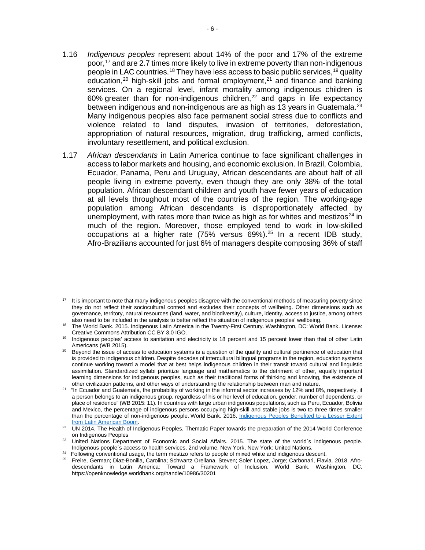- 1.16 *Indigenous peoples* represent about 14% of the poor and 17% of the extreme poor, [17](#page-9-0) and are 2.7 times more likely to live in extreme poverty than non-indigenous people in LAC countries.<sup>[18](#page-9-1)</sup> They have less access to basic public services,<sup>[19](#page-9-2)</sup> quality education,<sup>[20](#page-9-3)</sup> high-skill jobs and formal employment,<sup>[21](#page-9-4)</sup> and finance and banking services. On a regional level, infant mortality among indigenous children is  $60\%$  greater than for non-indigenous children, $^{22}$  $^{22}$  $^{22}$  and gaps in life expectancy between indigenous and non-indigenous are as high as 13 years in Guatemala.<sup>[23](#page-9-6)</sup> Many indigenous peoples also face permanent social stress due to conflicts and violence related to land disputes, invasion of territories, deforestation, appropriation of natural resources, migration, drug trafficking, armed conflicts, involuntary resettlement, and political exclusion.
- 1.17 *African descendants* in Latin America continue to face significant challenges in access to labor markets and housing, and economic exclusion. In Brazil, Colombia, Ecuador, Panama, Peru and Uruguay, African descendants are about half of all people living in extreme poverty, even though they are only 38% of the total population. African descendant children and youth have fewer years of education at all levels throughout most of the countries of the region. The working-age population among African descendants is disproportionately affected by unemployment, with rates more than twice as high as for whites and mestizos<sup>[24](#page-9-7)</sup> in much of the region. Moreover, those employed tend to work in low-skilled occupations at a higher rate (75% versus 69%).[25](#page-9-8) In a recent IDB study, Afro-Brazilians accounted for just 6% of managers despite composing 36% of staff

<span id="page-9-0"></span> $\overline{\phantom{a}}$ <sup>17</sup> It is important to note that many indigenous peoples disagree with the conventional methods of measuring poverty since they do not reflect their sociocultural context and excludes their concepts of wellbeing. Other dimensions such as governance, territory, natural resources (land, water, and biodiversity), culture, identity, access to justice, among others also need to be included in the analysis to better reflect the situation of indigenous peoples' wellbeing.

<span id="page-9-1"></span><sup>&</sup>lt;sup>18</sup> The World Bank. 2015. Indigenous Latin America in the Twenty-First Century. Washington, DC: World Bank. License: Creative Commons Attribution CC BY 3.0 IGO.

<span id="page-9-2"></span><sup>&</sup>lt;sup>19</sup> Indigenous peoples' access to sanitation and electricity is 18 percent and 15 percent lower than that of other Latin Americans (WB 2015).

<span id="page-9-3"></span><sup>&</sup>lt;sup>20</sup> Beyond the issue of access to education systems is a question of the quality and cultural pertinence of education that is provided to indigenous children. Despite decades of intercultural bilingual programs in the region, education systems continue working toward a model that at best helps indigenous children in their transit toward cultural and linguistic assimilation. Standardized syllabi prioritize language and mathematics to the detriment of other, equally important learning dimensions for indigenous peoples, such as their traditional forms of thinking and knowing, the existence of other civilization patterns, and other ways of understanding the relationship between man and nature.

<span id="page-9-4"></span><sup>21 &</sup>quot;In Ecuador and Guatemala, the probability of working in the informal sector increases by 12% and 8%, respectively, if a person belongs to an indigenous group, regardless of his or her level of education, gender, number of dependents, or place of residence" (WB 2015: 11). In countries with large urban indigenous populations, such as Peru, Ecuador, Bolivia and Mexico, the percentage of indigenous persons occupying high-skill and stable jobs is two to three times smaller than the percentage of non-indigenous people. World Bank. 2016. [Indigenous Peoples Benefited to a Lesser Extent](https://bit.ly/1oIxeVp) from Latin American Boom.

<span id="page-9-5"></span><sup>&</sup>lt;sup>22</sup> UN 2014. The Health of Indigenous Peoples. Thematic Paper towards the preparation of the 2014 World Conference on Indigenous Peoples

<span id="page-9-6"></span><sup>&</sup>lt;sup>23</sup> United Nations Department of Economic and Social Affairs. 2015. The state of the world's indigenous people. Indigenous people´s access to health services, 2nd volume. New York, New York: United Nations.

<span id="page-9-7"></span><sup>&</sup>lt;sup>24</sup> Following conventional usage, the term mestizo refers to people of mixed white and indigenous descent.

<span id="page-9-8"></span><sup>25</sup> Freire, German; Diaz-Bonilla, Carolina; Schwartz Orellana, Steven; Soler Lopez, Jorge; Carbonari, Flavia. 2018. Afrodescendants in Latin America: Toward a Framework of Inclusion. World Bank, Washington, DC. https://openknowledge.worldbank.org/handle/10986/30201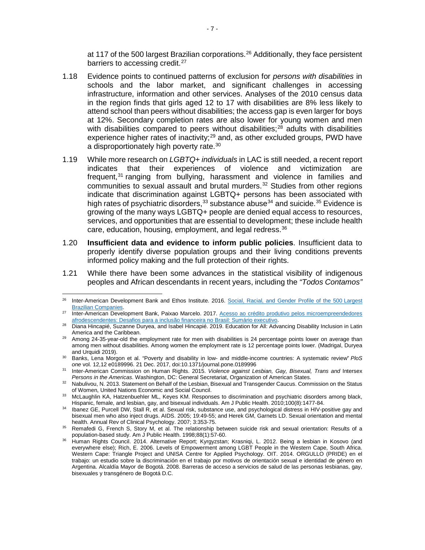at 117 of the 500 largest Brazilian corporations.<sup>[26](#page-10-0)</sup> Additionally, they face persistent barriers to accessing credit.<sup>[27](#page-10-1)</sup>

- 1.18 Evidence points to continued patterns of exclusion for *persons with disabilities* in schools and the labor market, and significant challenges in accessing infrastructure, information and other services. Analyses of the 2010 census data in the region finds that girls aged 12 to 17 with disabilities are 8% less likely to attend school than peers without disabilities; the access gap is even larger for boys at 12%. Secondary completion rates are also lower for young women and men with disabilities compared to peers without disabilities;<sup>[28](#page-10-2)</sup> adults with disabilities experience higher rates of inactivity;<sup>[29](#page-10-3)</sup> and, as other excluded groups, PWD have a disproportionately high poverty rate.<sup>[30](#page-10-4)</sup>
- 1.19 While more research on *LGBTQ+ individuals* in LAC is still needed, a recent report indicates that their experiences of violence and victimization are frequent,<sup>[31](#page-10-5)</sup> ranging from bullying, harassment and violence in families and communities to sexual assault and brutal murders. $32$  Studies from other regions indicate that discrimination against LGBTQ+ persons has been associated with high rates of psychiatric disorders,  $33$  substance abuse  $34$  and suicide.  $35$  Evidence is growing of the many ways LGBTQ+ people are denied equal access to resources, services, and opportunities that are essential to development; these include health care, education, housing, employment, and legal redress.<sup>[36](#page-10-10)</sup>
- 1.20 **Insufficient data and evidence to inform public policies**. Insufficient data to properly identify diverse population groups and their living conditions prevents informed policy making and the full protection of their rights.
- 1.21 While there have been some advances in the statistical visibility of indigenous peoples and African descendants in recent years, including the *"Todos Contamos"*

<span id="page-10-0"></span><sup>26</sup> <sup>26</sup> Inter-American Development Bank and Ethos Institute. 2016. [Social, Racial, and Gender Profile of the 500](https://publications.iadb.org/en/publication/17489/social-racial-and-gender-profile-500-largest-brazilian-companies) Largest [Brazilian Companies.](https://publications.iadb.org/en/publication/17489/social-racial-and-gender-profile-500-largest-brazilian-companies)

<span id="page-10-1"></span><sup>&</sup>lt;sup>27</sup> Inter-American Development Bank, Paixao Marcelo. 2017. Acesso ao crédito produtivo pelos microempreendedores [afrodescendentes: Desafios para a inclusão financeira no Brasil: Sumário executivo.](https://publications.iadb.org/en/publication/16266/acesso-ao-credito-produtivo-pelos-microempreendedores-afrodescendentes-desafios)

<span id="page-10-2"></span><sup>28</sup> Diana Hincapié, Suzanne Duryea, and Isabel Hincapié. 2019. Education for All: Advancing Disability Inclusion in Latin

<span id="page-10-3"></span>America and the Caribbean.<br><sup>29</sup> Among 24-35-year-old the employment rate for men with disabilities is 24 percentage points lower on average than among men without disabilities. Among women the employment rate is 12 percentage points lower. (Madrigal, Duryea and Urquidi 2019).

<span id="page-10-4"></span><sup>30</sup> Banks, Lena Morgon et al. "Poverty and disability in low- and middle-income countries: A systematic review" *PloS one* vol. 12,12 e0189996. 21 Dec. 2017, doi:10.1371/journal.pone.0189996

<span id="page-10-5"></span><sup>31</sup> Inter-American Commission on Human Rights. 2015. *Violence against Lesbian, Gay, Bisexual, Trans and* Intersex *Persons in the Americas*. Washington, DC: General Secretariat, Organization of American States.

<span id="page-10-6"></span><sup>32</sup> Nabulivou, N. 2013. Statement on Behalf of the Lesbian, Bisexual and Transgender Caucus. Commission on the Status of Women, United Nations Economic and Social Council.

<span id="page-10-7"></span><sup>33</sup> McLaughlin KA, Hatzenbuehler ML, Keyes KM. Responses to discrimination and psychiatric disorders among black, Hispanic, female, and lesbian, gay, and bisexual individuals. Am J Public Health. 2010;100(8):1477-84.

<span id="page-10-8"></span><sup>&</sup>lt;sup>34</sup> Ibanez GE, Purcell DW, Stall R, et al. Sexual risk, substance use, and psychological distress in HIV-positive gay and bisexual men who also inject drugs. AIDS. 2005; 19:49-55; and Herek GM, Garnets LD. Sexual orientation and mental health. Annual Rev of Clinical Psychology. 2007; 3:353-75.

<span id="page-10-9"></span><sup>35</sup> Remafedi G, French S, Story M, et al. The relationship between suicide risk and sexual orientation: Results of a population-based study. Am J Public Health. 1998;88(1):57-60.

<span id="page-10-10"></span><sup>36</sup> Human Rights Council. 2014. Alternative Report; Kyrgyzstan; Krasniqi, L. 2012. Being a lesbian in Kosovo (and everywhere else); Rich, E. 2006. Levels of Empowerment among LGBT People in the Western Cape, South Africa. Western Cape: Triangle Project and UNISA Centre for Applied Psychology. OIT. 2014. ORGULLO (PRIDE) en el trabajo: un estudio sobre la discriminación en el trabajo por motivos de orientación sexual e identidad de género en Argentina. Alcaldía Mayor de Bogotá. 2008. Barreras de acceso a servicios de salud de las personas lesbianas, gay, bisexuales y transgénero de Bogotá D.C.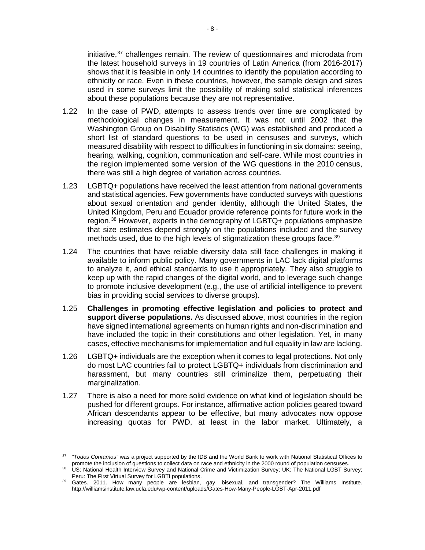initiative,<sup>[37](#page-11-0)</sup> challenges remain. The review of questionnaires and microdata from the latest household surveys in 19 countries of Latin America (from 2016-2017) shows that it is feasible in only 14 countries to identify the population according to ethnicity or race. Even in these countries, however, the sample design and sizes used in some surveys limit the possibility of making solid statistical inferences about these populations because they are not representative.

- 1.22 In the case of PWD, attempts to assess trends over time are complicated by methodological changes in measurement. It was not until 2002 that the Washington Group on Disability Statistics (WG) was established and produced a short list of standard questions to be used in censuses and surveys, which measured disability with respect to difficulties in functioning in six domains: seeing, hearing, walking, cognition, communication and self-care. While most countries in the region implemented some version of the WG questions in the 2010 census, there was still a high degree of variation across countries.
- 1.23 LGBTQ+ populations have received the least attention from national governments and statistical agencies. Few governments have conducted surveys with questions about sexual orientation and gender identity, although the United States, the United Kingdom, Peru and Ecuador provide reference points for future work in the region.<sup>[38](#page-11-1)</sup> However, experts in the demography of LGBTQ+ populations emphasize that size estimates depend strongly on the populations included and the survey methods used, due to the high levels of stigmatization these groups face.<sup>[39](#page-11-2)</sup>
- 1.24 The countries that have reliable diversity data still face challenges in making it available to inform public policy. Many governments in LAC lack digital platforms to analyze it, and ethical standards to use it appropriately. They also struggle to keep up with the rapid changes of the digital world, and to leverage such change to promote inclusive development (e.g., the use of artificial intelligence to prevent bias in providing social services to diverse groups).
- 1.25 **Challenges in promoting effective legislation and policies to protect and support diverse populations.** As discussed above, most countries in the region have signed international agreements on human rights and non-discrimination and have included the topic in their constitutions and other legislation. Yet, in many cases, effective mechanisms for implementation and full equality in law are lacking.
- 1.26 LGBTQ+ individuals are the exception when it comes to legal protections. Not only do most LAC countries fail to protect LGBTQ+ individuals from discrimination and harassment, but many countries still criminalize them, perpetuating their marginalization.
- 1.27 There is also a need for more solid evidence on what kind of legislation should be pushed for different groups. For instance, affirmative action policies geared toward African descendants appear to be effective, but many advocates now oppose increasing quotas for PWD, at least in the labor market. Ultimately, a

<span id="page-11-0"></span>l <sup>37</sup> *"Todos Contamos"* was a project supported by the IDB and the World Bank to work with National Statistical Offices to promote the inclusion of questions to collect data on race and ethnicity in the 2000 round of population censuses.

<span id="page-11-1"></span>US: [National Health Interview Survey](https://www.cdc.gov/nchs/nhis/sexual_orientation/faqs.htm) and [National Crime and Victimization Survey;](https://www.bjs.gov/index.cfm?ty=dcdetail&iid=245) UK: [The National LGBT Survey;](https://www.gov.uk/government/publications/national-lgbt-survey-summary-report) Peru: [The First Virtual Survey for LGBTI populations.](https://www.inei.gob.pe/media/MenuRecursivo/boletines/lgbti.pdf)

<span id="page-11-2"></span><sup>39</sup> Gates. 2011. How many people are lesbian, gay, bisexual, and transgender? The Williams Institute. http://williamsinstitute.law.ucla.edu/wp-content/uploads/Gates-How-Many-People-LGBT-Apr-2011.pdf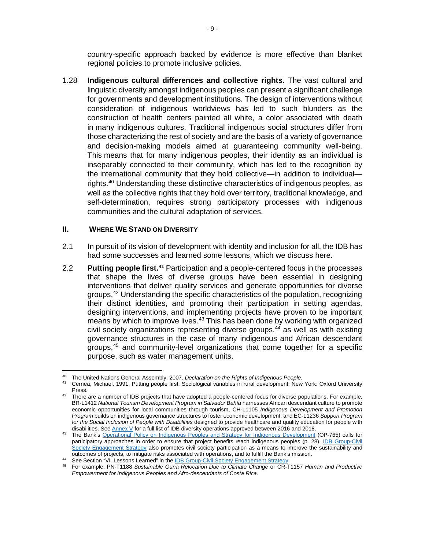country-specific approach backed by evidence is more effective than blanket regional policies to promote inclusive policies.

1.28 **Indigenous cultural differences and collective rights.** The vast cultural and linguistic diversity amongst indigenous peoples can present a significant challenge for governments and development institutions. The design of interventions without consideration of indigenous worldviews has led to such blunders as the construction of health centers painted all white, a color associated with death in many indigenous cultures. Traditional indigenous social structures differ from those characterizing the rest of society and are the basis of a variety of governance and decision-making models aimed at guaranteeing community well-being. This means that for many indigenous peoples, their identity as an individual is inseparably connected to their community, which has led to the recognition by the international community that they hold collective—in addition to individual rights. [40](#page-12-1) Understanding these distinctive characteristics of indigenous peoples, as well as the collective rights that they hold over territory, traditional knowledge, and self-determination, requires strong participatory processes with indigenous communities and the cultural adaptation of services.

#### <span id="page-12-0"></span>**II. WHERE WE STAND ON DIVERSITY**

- 2.1 In pursuit of its vision of development with identity and inclusion for all, the IDB has had some successes and learned some lessons, which we discuss here.
- 2.2 **Putting people first. [41](#page-12-2)** Participation and a people-centered focus in the processes that shape the lives of diverse groups have been essential in designing interventions that deliver quality services and generate opportunities for diverse groups. [42](#page-12-3) Understanding the specific characteristics of the population, recognizing their distinct identities, and promoting their participation in setting agendas, designing interventions, and implementing projects have proven to be important means by which to improve lives.<sup>[43](#page-12-4)</sup> This has been done by working with organized civil society organizations representing diverse groups, [44](#page-12-5) as well as with existing governance structures in the case of many indigenous and African descendant groups, [45](#page-12-6) and community-level organizations that come together for a specific purpose, such as water management units.

<span id="page-12-1"></span> $\overline{a}$ <sup>40</sup> The United Nations General Assembly. 2007. *Declaration on the Rights of Indigenous People*.

<span id="page-12-2"></span><sup>41</sup> Cernea, Michael. 1991. Putting people first: Sociological variables in rural development. New York: Oxford University Press.

<span id="page-12-3"></span><sup>&</sup>lt;sup>42</sup> There are a number of IDB projects that have adopted a people-centered focus for diverse populations. For example, BR-L1412 *National Tourism Development Program in Salvador Bahía* harnesses African descendant culture to promote economic opportunities for local communities through tourism, CH-L1105 *Indigenous Development and Promotion Program* builds on indigenous governance structures to foster economic development, and EC-L1236 *Support Program for the Social Inclusion of People with Disabilities* designed to provide healthcare and quality education for people with disabilities. Se[e Annex V](http://idbdocs.iadb.org/wsdocs/getDocument.aspx?DOCNUM=EZSHARE-1313314906-205) for a full list of IDB diversity operations approved between 2016 and 2018.

<span id="page-12-4"></span><sup>&</sup>lt;sup>43</sup> The Bank's [Operational Policy on Indigenous Peoples and Strategy for Indigenous Development](http://www.tebtebba.org/index.php/all-resources/category/132-5-the-ifis-and-mtrs?download=785:operational-policy-on-indigenous-peoples-and-strategy-for-indigenous-development) (OP-765) calls for participatory approaches in order to ensure that project benefits reach indigenous peoples (p. 28). IDB Group-Civil [Society Engagement Strategy](http://idbdocs.iadb.org/wsdocs/getdocument.aspx?docnum=EZSHARE-581988153-23) also promotes civil society participation as a means to improve the sustainability and outcomes of projects, to mitigate risks associated with operations, and to fulfill the Bank's mission.<br><sup>44</sup> See Section "VI. Lessons Learned" in the **IDB Group-Civil Society Engagement Strategy**.

<span id="page-12-6"></span><span id="page-12-5"></span><sup>&</sup>lt;sup>45</sup> For example, PN-T1188 Sustainable Guna Relocation Due to Climate Change or CR-T1157 *Human and Productive Empowerment for Indigenous Peoples and Afro-descendants of Costa Rica.*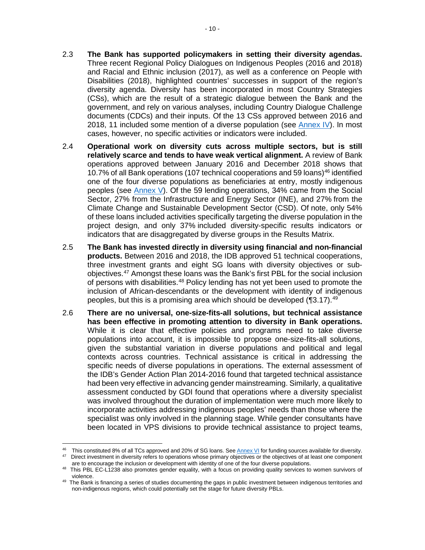- 2.3 **The Bank has supported policymakers in setting their diversity agendas.**  Three recent Regional Policy Dialogues on Indigenous Peoples (2016 and 2018) and Racial and Ethnic inclusion (2017), as well as a conference on People with Disabilities (2018), highlighted countries' successes in support of the region's diversity agenda. Diversity has been incorporated in most Country Strategies (CSs), which are the result of a strategic dialogue between the Bank and the government, and rely on various analyses, including Country Dialogue Challenge documents (CDCs) and their inputs. Of the 13 CSs approved between 2016 and 2018, 11 included some mention of a diverse population (see [Annex IV\)](http://idbdocs.iadb.org/wsdocs/getDocument.aspx?DOCNUM=EZSHARE-1313314906-210). In most cases, however, no specific activities or indicators were included.
- 2.4 **Operational work on diversity cuts across multiple sectors, but is still relatively scarce and tends to have weak vertical alignment.** A review of Bank operations approved between January 2016 and December 2018 shows that 10.7% of all Bank operations (107 technical cooperations and 59 loans)[46](#page-13-0) identified one of the four diverse populations as beneficiaries at entry, mostly indigenous peoples (see [Annex V\)](http://idbdocs.iadb.org/wsdocs/getDocument.aspx?DOCNUM=EZSHARE-1313314906-205). Of the 59 lending operations, 34% came from the Social Sector, 27% from the Infrastructure and Energy Sector (INE), and 27% from the Climate Change and Sustainable Development Sector (CSD). Of note, only 54% of these loans included activities specifically targeting the diverse population in the project design, and only 37% included diversity-specific results indicators or indicators that are disaggregated by diverse groups in the Results Matrix.
- 2.5 **The Bank has invested directly in diversity using financial and non-financial products.** Between 2016 and 2018, the IDB approved 51 technical cooperations, three investment grants and eight SG loans with diversity objectives or subobjectives. [47](#page-13-1) Amongst these loans was the Bank's first PBL for the social inclusion of persons with disabilities.<sup>[48](#page-13-2)</sup> Policy lending has not yet been used to promote the inclusion of African-descendants or the development with identity of indigenous peoples, but this is a promising area which should be developed  $(93.17).49$  $(93.17).49$
- 2.6 **There are no universal, one-size-fits-all solutions, but technical assistance has been effective in promoting attention to diversity in Bank operations.** While it is clear that effective policies and programs need to take diverse populations into account, it is impossible to propose one-size-fits-all solutions, given the substantial variation in diverse populations and political and legal contexts across countries. Technical assistance is critical in addressing the specific needs of diverse populations in operations. The external assessment of the IDB's Gender Action Plan 2014-2016 found that targeted technical assistance had been very effective in advancing gender mainstreaming. Similarly, a qualitative assessment conducted by GDI found that operations where a diversity specialist was involved throughout the duration of implementation were much more likely to incorporate activities addressing indigenous peoples' needs than those where the specialist was only involved in the planning stage. While gender consultants have been located in VPS divisions to provide technical assistance to project teams,

 $\overline{\phantom{a}}$ 

<span id="page-13-1"></span><span id="page-13-0"></span><sup>&</sup>lt;sup>46</sup> This constituted 8% of all TCs approved and 20% of SG loans. Se[e Annex VI](http://idbdocs.iadb.org/wsdocs/getDocument.aspx?DOCNUM=EZSHARE-1313314906-209) for funding sources available for diversity. Direct investment in diversity refers to operations whose primary objectives or the objectives of at least one component are to encourage the inclusion or development with identity of one of the four diverse populations.

<sup>48</sup> This PBL EC-L1238 also promotes gender equality, with a focus on providing quality services to women survivors of violence.

<span id="page-13-3"></span><span id="page-13-2"></span><sup>&</sup>lt;sup>49</sup> The Bank is financing a series of studies documenting the gaps in public investment between indigenous territories and non-indigenous regions, which could potentially set the stage for future diversity PBLs.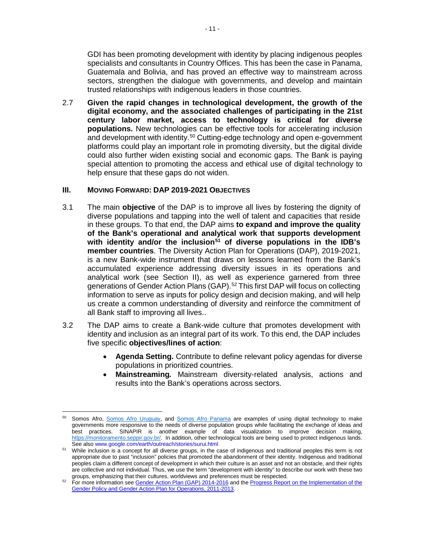GDI has been promoting development with identity by placing indigenous peoples specialists and consultants in Country Offices. This has been the case in Panama, Guatemala and Bolivia, and has proved an effective way to mainstream across sectors, strengthen the dialogue with governments, and develop and maintain trusted relationships with indigenous leaders in those countries.

2.7 **Given the rapid changes in technological development, the growth of the digital economy, and the associated challenges of participating in the 21st century labor market, access to technology is critical for diverse populations.** New technologies can be effective tools for accelerating inclusion and development with identity.<sup>[50](#page-14-1)</sup> Cutting-edge technology and open e-government platforms could play an important role in promoting diversity, but the digital divide could also further widen existing social and economic gaps. The Bank is paying special attention to promoting the access and ethical use of digital technology to help ensure that these gaps do not widen.

#### <span id="page-14-0"></span>**III. MOVING FORWARD: DAP 2019-2021 OBJECTIVES**

l

- 3.1 The main **objective** of the DAP is to improve all lives by fostering the dignity of diverse populations and tapping into the well of talent and capacities that reside in these groups. To that end, the DAP aims **to expand and improve the quality of the Bank's operational and analytical work that supports development with identity and/or the inclusion[51](#page-14-2) of diverse populations in the IDB's member countries**. The Diversity Action Plan for Operations (DAP), 2019-2021, is a new Bank-wide instrument that draws on lessons learned from the Bank's accumulated experience addressing diversity issues in its operations and analytical work (see Section II), as well as experience garnered from three generations of Gender Action Plans (GAP).<sup>[52](#page-14-3)</sup> This first DAP will focus on collecting information to serve as inputs for policy design and decision making, and will help us create a common understanding of diversity and reinforce the commitment of all Bank staff to improving all lives..
- 3.2 The DAP aims to create a Bank-wide culture that promotes development with identity and inclusion as an integral part of its work. To this end, the DAP includes five specific **objectives/lines of action**:
	- **Agenda Setting.** Contribute to define relevant policy agendas for diverse populations in prioritized countries.
	- **Mainstreaming***.* Mainstream diversity-related analysis, actions and results into the Bank's operations across sectors.

<span id="page-14-1"></span><sup>50</sup> Somos Afro, [Somos Afro Uruguay,](https://somosafro.org/gobiernos/uruguay/) and [Somos Afro Panama](http://www.somosafro.org/) are examples of using digital technology to make governments more responsive to the needs of diverse population groups while facilitating the exchange of ideas and best practices. SINAPIR is another example of data visualization to improve decision making, [https://monitoramento.seppir.gov.br/.](https://monitoramento.seppir.gov.br/) In addition, other technological tools are being used to protect indigenous lands. See also www.google.com/earth/outreach/stories/surui.html

<span id="page-14-2"></span><sup>&</sup>lt;sup>51</sup> While inclusion is a concept for all diverse groups, in the case of indigenous and traditional peoples this term is not appropriate due to past "inclusion" policies that promoted the abandonment of their identity. Indigenous and traditional peoples claim a different concept of development in which their culture is an asset and not an obstacle, and their rights are collective and not individual. Thus, we use the term "development with identity" to describe our work with these two groups, emphasizing that their cultures, worldviews and preferences must be respected.

<span id="page-14-3"></span><sup>52</sup> For more information see [Gender Action Plan \(GAP\) 2014-2016](http://www.iadb.org/document.cfm?id=39376297) and th[e Progress Report on the Implementation of the](http://www.iadb.org/document.cfm?id=39384358)  [Gender Policy and Gender Action Plan for Operations, 2011-2013.](http://www.iadb.org/document.cfm?id=39384358)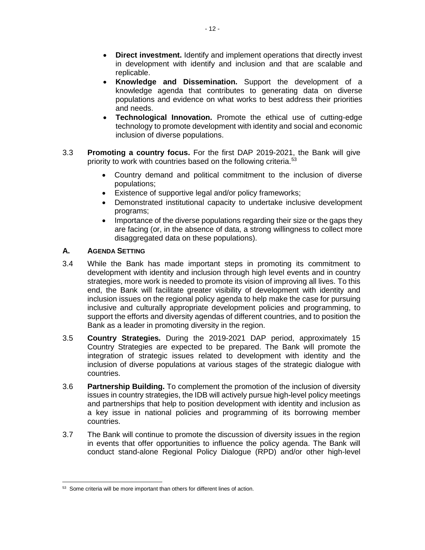- **Direct investment.** Identify and implement operations that directly invest in development with identify and inclusion and that are scalable and replicable.
- **Knowledge and Dissemination.** Support the development of a knowledge agenda that contributes to generating data on diverse populations and evidence on what works to best address their priorities and needs.
- **Technological Innovation.** Promote the ethical use of cutting-edge technology to promote development with identity and social and economic inclusion of diverse populations.
- 3.3 **Promoting a country focus.** For the first DAP 2019-2021, the Bank will give priority to work with countries based on the following criteria.<sup>[53](#page-15-1)</sup>
	- Country demand and political commitment to the inclusion of diverse populations;
	- Existence of supportive legal and/or policy frameworks;
	- Demonstrated institutional capacity to undertake inclusive development programs;
	- Importance of the diverse populations regarding their size or the gaps they are facing (or, in the absence of data, a strong willingness to collect more disaggregated data on these populations).

## <span id="page-15-0"></span>**A. AGENDA SETTING**

- 3.4 While the Bank has made important steps in promoting its commitment to development with identity and inclusion through high level events and in country strategies, more work is needed to promote its vision of improving all lives. To this end, the Bank will facilitate greater visibility of development with identity and inclusion issues on the regional policy agenda to help make the case for pursuing inclusive and culturally appropriate development policies and programming, to support the efforts and diversity agendas of different countries, and to position the Bank as a leader in promoting diversity in the region.
- 3.5 **Country Strategies.** During the 2019-2021 DAP period, approximately 15 Country Strategies are expected to be prepared. The Bank will promote the integration of strategic issues related to development with identity and the inclusion of diverse populations at various stages of the strategic dialogue with countries.
- 3.6 **Partnership Building.** To complement the promotion of the inclusion of diversity issues in country strategies, the IDB will actively pursue high-level policy meetings and partnerships that help to position development with identity and inclusion as a key issue in national policies and programming of its borrowing member countries.
- 3.7 The Bank will continue to promote the discussion of diversity issues in the region in events that offer opportunities to influence the policy agenda. The Bank will conduct stand-alone Regional Policy Dialogue (RPD) and/or other high-level

<span id="page-15-1"></span> $\overline{a}$ 53 Some criteria will be more important than others for different lines of action.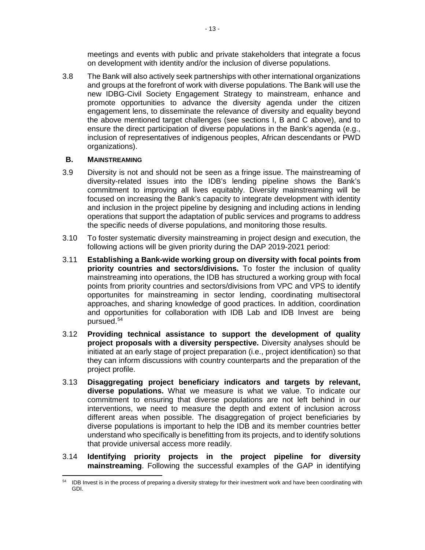meetings and events with public and private stakeholders that integrate a focus on development with identity and/or the inclusion of diverse populations.

3.8 The Bank will also actively seek partnerships with other international organizations and groups at the forefront of work with diverse populations. The Bank will use the new IDBG-Civil Society Engagement Strategy to mainstream, enhance and promote opportunities to advance the diversity agenda under the citizen engagement lens, to disseminate the relevance of diversity and equality beyond the above mentioned target challenges (see sections I, B and C above), and to ensure the direct participation of diverse populations in the Bank's agenda (e.g., inclusion of representatives of indigenous peoples, African descendants or PWD organizations).

## <span id="page-16-0"></span>**B. MAINSTREAMING**

- 3.9 Diversity is not and should not be seen as a fringe issue. The mainstreaming of diversity-related issues into the IDB's lending pipeline shows the Bank's commitment to improving all lives equitably. Diversity mainstreaming will be focused on increasing the Bank's capacity to integrate development with identity and inclusion in the project pipeline by designing and including actions in lending operations that support the adaptation of public services and programs to address the specific needs of diverse populations, and monitoring those results.
- 3.10 To foster systematic diversity mainstreaming in project design and execution, the following actions will be given priority during the DAP 2019-2021 period:
- 3.11 **Establishing a Bank-wide working group on diversity with focal points from priority countries and sectors/divisions.** To foster the inclusion of quality mainstreaming into operations, the IDB has structured a working group with focal points from priority countries and sectors/divisions from VPC and VPS to identify opportunites for mainstreaming in sector lending, coordinating multisectoral approaches, and sharing knowledge of good practices. In addition, coordination and opportunities for collaboration with IDB Lab and IDB Invest are being pursued. [54](#page-16-1)
- 3.12 **Providing technical assistance to support the development of quality project proposals with a diversity perspective.** Diversity analyses should be initiated at an early stage of project preparation (i.e., project identification) so that they can inform discussions with country counterparts and the preparation of the project profile.
- 3.13 **Disaggregating project beneficiary indicators and targets by relevant, diverse populations.** What we measure is what we value. To indicate our commitment to ensuring that diverse populations are not left behind in our interventions, we need to measure the depth and extent of inclusion across different areas when possible. The disaggregation of project beneficiaries by diverse populations is important to help the IDB and its member countries better understand who specifically is benefitting from its projects, and to identify solutions that provide universal access more readily.
- 3.14 **Identifying priority projects in the project pipeline for diversity mainstreaming**. Following the successful examples of the GAP in identifying

<span id="page-16-1"></span> $\overline{\phantom{a}}$ <sup>54</sup> IDB Invest is in the process of preparing a diversity strategy for their investment work and have been coordinating with GDI.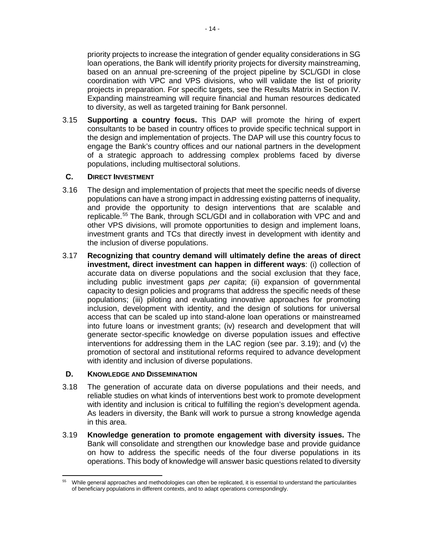priority projects to increase the integration of gender equality considerations in SG loan operations, the Bank will identify priority projects for diversity mainstreaming, based on an annual pre-screening of the project pipeline by SCL/GDI in close coordination with VPC and VPS divisions, who will validate the list of priority projects in preparation. For specific targets, see the Results Matrix in Section IV. Expanding mainstreaming will require financial and human resources dedicated to diversity, as well as targeted training for Bank personnel.

3.15 **Supporting a country focus.** This DAP will promote the hiring of expert consultants to be based in country offices to provide specific technical support in the design and implementation of projects. The DAP will use this country focus to engage the Bank's country offices and our national partners in the development of a strategic approach to addressing complex problems faced by diverse populations, including multisectoral solutions.

## <span id="page-17-0"></span>**C. DIRECT INVESTMENT**

- 3.16 The design and implementation of projects that meet the specific needs of diverse populations can have a strong impact in addressing existing patterns of inequality, and provide the opportunity to design interventions that are scalable and replicable.[55](#page-17-4) The Bank, through SCL/GDI and in collaboration with VPC and and other VPS divisions, will promote opportunities to design and implement loans, investment grants and TCs that directly invest in development with identity and the inclusion of diverse populations.
- <span id="page-17-2"></span>3.17 **Recognizing that country demand will ultimately define the areas of direct investment, direct investment can happen in different ways**: (i) collection of accurate data on diverse populations and the social exclusion that they face, including public investment gaps *per capita*; (ii) expansion of governmental capacity to design policies and programs that address the specific needs of these populations; (iii) piloting and evaluating innovative approaches for promoting inclusion, development with identity, and the design of solutions for universal access that can be scaled up into stand-alone loan operations or mainstreamed into future loans or investment grants; (iv) research and development that will generate sector-specific knowledge on diverse population issues and effective interventions for addressing them in the LAC region (see par. [3.19\)](#page-17-3); and (v) the promotion of sectoral and institutional reforms required to advance development with identity and inclusion of diverse populations.

#### <span id="page-17-1"></span>**D. KNOWLEDGE AND DISSEMINATION**

- 3.18 The generation of accurate data on diverse populations and their needs, and reliable studies on what kinds of interventions best work to promote development with identity and inclusion is critical to fulfilling the region's development agenda. As leaders in diversity, the Bank will work to pursue a strong knowledge agenda in this area.
- <span id="page-17-3"></span>3.19 **Knowledge generation to promote engagement with diversity issues.** The Bank will consolidate and strengthen our knowledge base and provide guidance on how to address the specific needs of the four diverse populations in its operations. This body of knowledge will answer basic questions related to diversity

<span id="page-17-4"></span> $\overline{\phantom{a}}$ While general approaches and methodologies can often be replicated, it is essential to understand the particularities of beneficiary populations in different contexts, and to adapt operations correspondingly.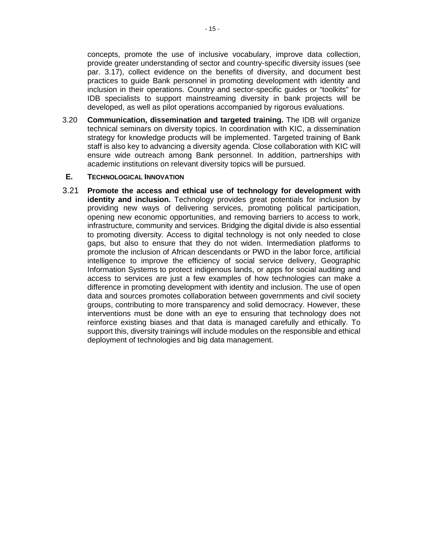concepts, promote the use of inclusive vocabulary, improve data collection, provide greater understanding of sector and country-specific diversity issues (see par. [3.17\)](#page-17-2), collect evidence on the benefits of diversity, and document best practices to guide Bank personnel in promoting development with identity and inclusion in their operations. Country and sector-specific guides or "toolkits" for IDB specialists to support mainstreaming diversity in bank projects will be developed, as well as pilot operations accompanied by rigorous evaluations.

3.20 **Communication, dissemination and targeted training.** The IDB will organize technical seminars on diversity topics. In coordination with KIC, a dissemination strategy for knowledge products will be implemented. Targeted training of Bank staff is also key to advancing a diversity agenda. Close collaboration with KIC will ensure wide outreach among Bank personnel. In addition, partnerships with academic institutions on relevant diversity topics will be pursued.

#### <span id="page-18-0"></span>**E. TECHNOLOGICAL INNOVATION**

3.21 **Promote the access and ethical use of technology for development with identity and inclusion.** Technology provides great potentials for inclusion by providing new ways of delivering services, promoting political participation, opening new economic opportunities, and removing barriers to access to work, infrastructure, community and services. Bridging the digital divide is also essential to promoting diversity. Access to digital technology is not only needed to close gaps, but also to ensure that they do not widen. Intermediation platforms to promote the inclusion of African descendants or PWD in the labor force, artificial intelligence to improve the efficiency of social service delivery, Geographic Information Systems to protect indigenous lands, or apps for social auditing and access to services are just a few examples of how technologies can make a difference in promoting development with identity and inclusion. The use of open data and sources promotes collaboration between governments and civil society groups, contributing to more transparency and solid democracy. However, these interventions must be done with an eye to ensuring that technology does not reinforce existing biases and that data is managed carefully and ethically. To support this, diversity trainings will include modules on the responsible and ethical deployment of technologies and big data management.